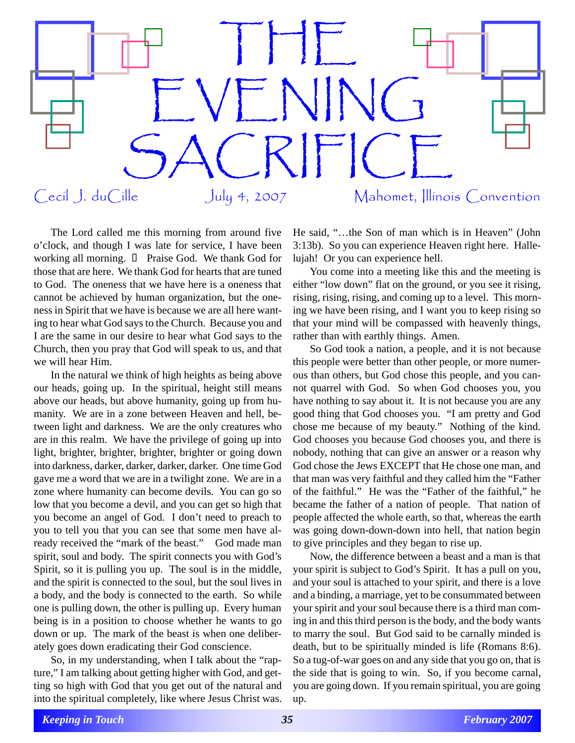

The Lord called me this morning from around five o'clock, and though I was late for service, I have been working all morning. Praise God. We thank God for those that are here. We thank God for hearts that are tuned to God. The oneness that we have here is a oneness that cannot be achieved by human organization, but the oneness in Spirit that we have is because we are all here wanting to hear what God says to the Church. Because you and I are the same in our desire to hear what God says to the Church, then you pray that God will speak to us, and that we will hear Him.

In the natural we think of high heights as being above our heads, going up. In the spiritual, height still means above our heads, but above humanity, going up from humanity. We are in a zone between Heaven and hell, between light and darkness. We are the only creatures who are in this realm. We have the privilege of going up into light, brighter, brighter, brighter, brighter or going down into darkness, darker, darker, darker, darker. One time God gave me a word that we are in a twilight zone. We are in a zone where humanity can become devils. You can go so low that you become a devil, and you can get so high that you become an angel of God. I don't need to preach to you to tell you that you can see that some men have already received the "mark of the beast." God made man spirit, soul and body. The spirit connects you with God's Spirit, so it is pulling you up. The soul is in the middle, and the spirit is connected to the soul, but the soul lives in a body, and the body is connected to the earth. So while one is pulling down, the other is pulling up. Every human being is in a position to choose whether he wants to go down or up. The mark of the beast is when one deliberately goes down eradicating their God conscience.

So, in my understanding, when I talk about the "rapture," I am talking about getting higher with God, and getting so high with God that you get out of the natural and into the spiritual completely, like where Jesus Christ was. He said, "…the Son of man which is in Heaven" (John 3:13b). So you can experience Heaven right here. Hallelujah! Or you can experience hell.

You come into a meeting like this and the meeting is either "low down" flat on the ground, or you see it rising, rising, rising, rising, and coming up to a level. This morning we have been rising, and I want you to keep rising so that your mind will be compassed with heavenly things, rather than with earthly things. Amen.

So God took a nation, a people, and it is not because this people were better than other people, or more numerous than others, but God chose this people, and you cannot quarrel with God. So when God chooses you, you have nothing to say about it. It is not because you are any good thing that God chooses you. "I am pretty and God chose me because of my beauty." Nothing of the kind. God chooses you because God chooses you, and there is nobody, nothing that can give an answer or a reason why God chose the Jews EXCEPT that He chose one man, and that man was very faithful and they called him the "Father of the faithful." He was the "Father of the faithful," he became the father of a nation of people. That nation of people affected the whole earth, so that, whereas the earth was going down-down-down into hell, that nation begin to give principles and they began to rise up.

Now, the difference between a beast and a man is that your spirit is subject to God's Spirit. It has a pull on you, and your soul is attached to your spirit, and there is a love and a binding, a marriage, yet to be consummated between your spirit and your soul because there is a third man coming in and this third person is the body, and the body wants to marry the soul. But God said to be carnally minded is death, but to be spiritually minded is life (Romans 8:6). So a tug-of-war goes on and any side that you go on, that is the side that is going to win. So, if you become carnal, you are going down. If you remain spiritual, you are going up.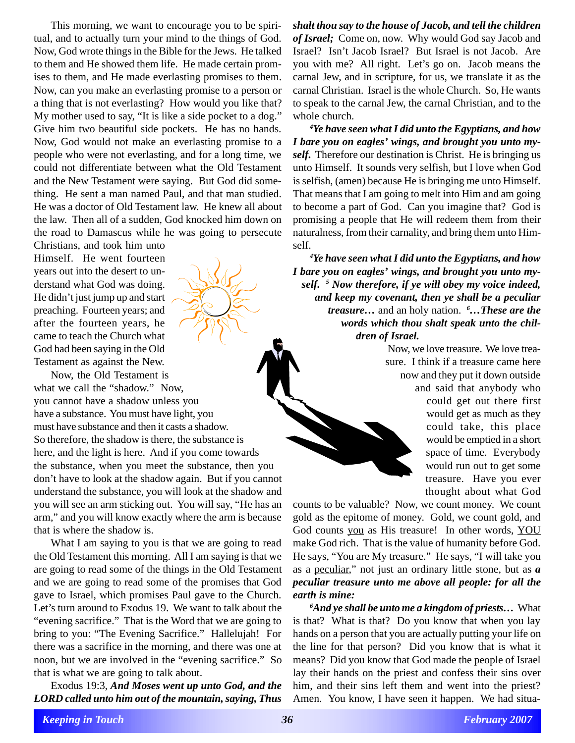This morning, we want to encourage you to be spiritual, and to actually turn your mind to the things of God. Now, God wrote things in the Bible for the Jews. He talked to them and He showed them life. He made certain promises to them, and He made everlasting promises to them. Now, can you make an everlasting promise to a person or a thing that is not everlasting? How would you like that? My mother used to say, "It is like a side pocket to a dog." Give him two beautiful side pockets. He has no hands. Now, God would not make an everlasting promise to a people who were not everlasting, and for a long time, we could not differentiate between what the Old Testament and the New Testament were saying. But God did something. He sent a man named Paul, and that man studied. He was a doctor of Old Testament law. He knew all about the law. Then all of a sudden, God knocked him down on the road to Damascus while he was going to persecute

Christians, and took him unto Himself. He went fourteen years out into the desert to understand what God was doing. He didn't just jump up and start preaching. Fourteen years; and after the fourteen years, he came to teach the Church what God had been saying in the Old Testament as against the New.

Now, the Old Testament is what we call the "shadow." Now, you cannot have a shadow unless you have a substance. You must have light, you must have substance and then it casts a shadow. So therefore, the shadow is there, the substance is here, and the light is here. And if you come towards the substance, when you meet the substance, then you don't have to look at the shadow again. But if you cannot understand the substance, you will look at the shadow and you will see an arm sticking out. You will say, "He has an arm," and you will know exactly where the arm is because that is where the shadow is.

What I am saying to you is that we are going to read the Old Testament this morning. All I am saying is that we are going to read some of the things in the Old Testament and we are going to read some of the promises that God gave to Israel, which promises Paul gave to the Church. Let's turn around to Exodus 19. We want to talk about the "evening sacrifice." That is the Word that we are going to bring to you: "The Evening Sacrifice." Hallelujah! For there was a sacrifice in the morning, and there was one at noon, but we are involved in the "evening sacrifice." So that is what we are going to talk about.

Exodus 19:3, *And Moses went up unto God, and the LORD called unto him out of the mountain, saying, Thus* *shalt thou say to the house of Jacob, and tell the children of Israel;* Come on, now. Why would God say Jacob and Israel? Isn't Jacob Israel? But Israel is not Jacob. Are you with me? All right. Let's go on. Jacob means the carnal Jew, and in scripture, for us, we translate it as the carnal Christian. Israel is the whole Church. So, He wants to speak to the carnal Jew, the carnal Christian, and to the whole church.

*4 Ye have seen what I did unto the Egyptians, and how I bare you on eagles' wings, and brought you unto myself.* Therefore our destination is Christ. He is bringing us unto Himself. It sounds very selfish, but I love when God is selfish, (amen) because He is bringing me unto Himself. That means that I am going to melt into Him and am going to become a part of God. Can you imagine that? God is promising a people that He will redeem them from their naturalness, from their carnality, and bring them unto Himself.

*4 Ye have seen what I did unto the Egyptians, and how I bare you on eagles' wings, and brought you unto myself. 5 Now therefore, if ye will obey my voice indeed, and keep my covenant, then ye shall be a peculiar treasure…* and an holy nation. *<sup>6</sup> …These are the words which thou shalt speak unto the children of Israel.*

> Now, we love treasure. We love treasure. I think if a treasure came here now and they put it down outside and said that anybody who could get out there first would get as much as they could take, this place would be emptied in a short

> > space of time. Everybody would run out to get some treasure. Have you ever thought about what God

counts to be valuable? Now, we count money. We count gold as the epitome of money. Gold, we count gold, and God counts you as His treasure! In other words, YOU make God rich. That is the value of humanity before God. He says, "You are My treasure." He says, "I will take you as a peculiar," not just an ordinary little stone, but as *a peculiar treasure unto me above all people: for all the earth is mine:*

*6 And ye shall be unto me a kingdom of priests…* What is that? What is that? Do you know that when you lay hands on a person that you are actually putting your life on the line for that person? Did you know that is what it means? Did you know that God made the people of Israel lay their hands on the priest and confess their sins over him, and their sins left them and went into the priest? Amen. You know, I have seen it happen. We had situa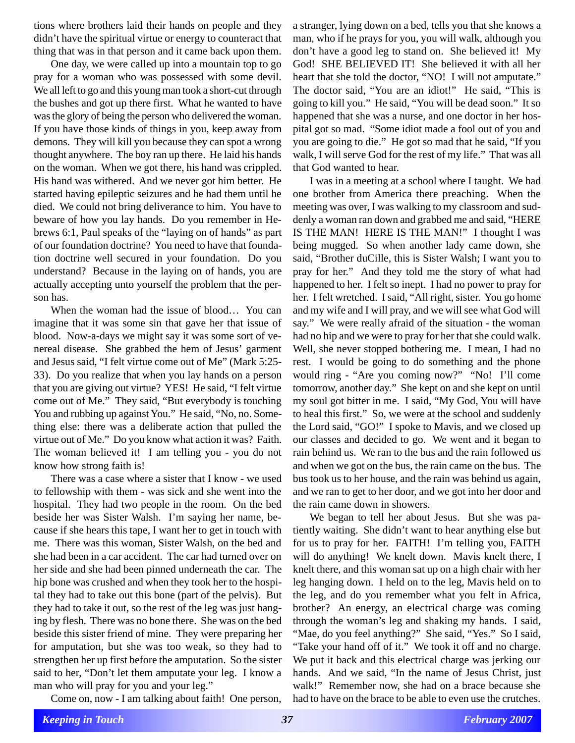tions where brothers laid their hands on people and they didn't have the spiritual virtue or energy to counteract that thing that was in that person and it came back upon them.

One day, we were called up into a mountain top to go pray for a woman who was possessed with some devil. We all left to go and this young man took a short-cut through the bushes and got up there first. What he wanted to have was the glory of being the person who delivered the woman. If you have those kinds of things in you, keep away from demons. They will kill you because they can spot a wrong thought anywhere. The boy ran up there. He laid his hands on the woman. When we got there, his hand was crippled. His hand was withered. And we never got him better. He started having epileptic seizures and he had them until he died. We could not bring deliverance to him. You have to beware of how you lay hands. Do you remember in Hebrews 6:1, Paul speaks of the "laying on of hands" as part of our foundation doctrine? You need to have that foundation doctrine well secured in your foundation. Do you understand? Because in the laying on of hands, you are actually accepting unto yourself the problem that the person has.

When the woman had the issue of blood… You can imagine that it was some sin that gave her that issue of blood. Now-a-days we might say it was some sort of venereal disease. She grabbed the hem of Jesus' garment and Jesus said, "I felt virtue come out of Me" (Mark 5:25- 33). Do you realize that when you lay hands on a person that you are giving out virtue? YES! He said, "I felt virtue come out of Me." They said, "But everybody is touching You and rubbing up against You." He said, "No, no. Something else: there was a deliberate action that pulled the virtue out of Me." Do you know what action it was? Faith. The woman believed it! I am telling you - you do not know how strong faith is!

There was a case where a sister that I know - we used to fellowship with them - was sick and she went into the hospital. They had two people in the room. On the bed beside her was Sister Walsh. I'm saying her name, because if she hears this tape, I want her to get in touch with me. There was this woman, Sister Walsh, on the bed and she had been in a car accident. The car had turned over on her side and she had been pinned underneath the car. The hip bone was crushed and when they took her to the hospital they had to take out this bone (part of the pelvis). But they had to take it out, so the rest of the leg was just hanging by flesh. There was no bone there. She was on the bed beside this sister friend of mine. They were preparing her for amputation, but she was too weak, so they had to strengthen her up first before the amputation. So the sister said to her, "Don't let them amputate your leg. I know a man who will pray for you and your leg."

Come on, now - I am talking about faith! One person,

a stranger, lying down on a bed, tells you that she knows a man, who if he prays for you, you will walk, although you don't have a good leg to stand on. She believed it! My God! SHE BELIEVED IT! She believed it with all her heart that she told the doctor, "NO! I will not amputate." The doctor said, "You are an idiot!" He said, "This is going to kill you." He said, "You will be dead soon." It so happened that she was a nurse, and one doctor in her hospital got so mad. "Some idiot made a fool out of you and you are going to die." He got so mad that he said, "If you walk, I will serve God for the rest of my life." That was all that God wanted to hear.

I was in a meeting at a school where I taught. We had one brother from America there preaching. When the meeting was over, I was walking to my classroom and suddenly a woman ran down and grabbed me and said, "HERE IS THE MAN! HERE IS THE MAN!" I thought I was being mugged. So when another lady came down, she said, "Brother duCille, this is Sister Walsh; I want you to pray for her." And they told me the story of what had happened to her. I felt so inept. I had no power to pray for her. I felt wretched. I said, "All right, sister. You go home and my wife and I will pray, and we will see what God will say." We were really afraid of the situation - the woman had no hip and we were to pray for her that she could walk. Well, she never stopped bothering me. I mean, I had no rest. I would be going to do something and the phone would ring - "Are you coming now?" "No! I'll come tomorrow, another day." She kept on and she kept on until my soul got bitter in me. I said, "My God, You will have to heal this first." So, we were at the school and suddenly the Lord said, "GO!" I spoke to Mavis, and we closed up our classes and decided to go. We went and it began to rain behind us. We ran to the bus and the rain followed us and when we got on the bus, the rain came on the bus. The bus took us to her house, and the rain was behind us again, and we ran to get to her door, and we got into her door and the rain came down in showers.

We began to tell her about Jesus. But she was patiently waiting. She didn't want to hear anything else but for us to pray for her. FAITH! I'm telling you, FAITH will do anything! We knelt down. Mavis knelt there, I knelt there, and this woman sat up on a high chair with her leg hanging down. I held on to the leg, Mavis held on to the leg, and do you remember what you felt in Africa, brother? An energy, an electrical charge was coming through the woman's leg and shaking my hands. I said, "Mae, do you feel anything?" She said, "Yes." So I said, "Take your hand off of it." We took it off and no charge. We put it back and this electrical charge was jerking our hands. And we said, "In the name of Jesus Christ, just walk!" Remember now, she had on a brace because she had to have on the brace to be able to even use the crutches.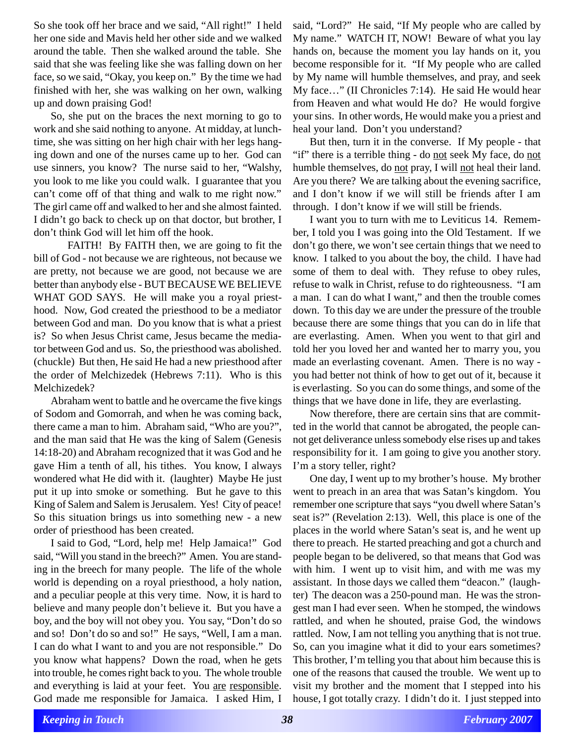So she took off her brace and we said, "All right!" I held her one side and Mavis held her other side and we walked around the table. Then she walked around the table. She said that she was feeling like she was falling down on her face, so we said, "Okay, you keep on." By the time we had finished with her, she was walking on her own, walking up and down praising God!

So, she put on the braces the next morning to go to work and she said nothing to anyone. At midday, at lunchtime, she was sitting on her high chair with her legs hanging down and one of the nurses came up to her. God can use sinners, you know? The nurse said to her, "Walshy, you look to me like you could walk. I guarantee that you can't come off of that thing and walk to me right now." The girl came off and walked to her and she almost fainted. I didn't go back to check up on that doctor, but brother, I don't think God will let him off the hook.

FAITH! By FAITH then, we are going to fit the bill of God - not because we are righteous, not because we are pretty, not because we are good, not because we are better than anybody else - BUT BECAUSE WE BELIEVE WHAT GOD SAYS. He will make you a royal priesthood. Now, God created the priesthood to be a mediator between God and man. Do you know that is what a priest is? So when Jesus Christ came, Jesus became the mediator between God and us. So, the priesthood was abolished. (chuckle) But then, He said He had a new priesthood after the order of Melchizedek (Hebrews 7:11). Who is this Melchizedek?

Abraham went to battle and he overcame the five kings of Sodom and Gomorrah, and when he was coming back, there came a man to him. Abraham said, "Who are you?", and the man said that He was the king of Salem (Genesis 14:18-20) and Abraham recognized that it was God and he gave Him a tenth of all, his tithes. You know, I always wondered what He did with it. (laughter) Maybe He just put it up into smoke or something. But he gave to this King of Salem and Salem is Jerusalem. Yes! City of peace! So this situation brings us into something new - a new order of priesthood has been created.

I said to God, "Lord, help me! Help Jamaica!" God said, "Will you stand in the breech?" Amen. You are standing in the breech for many people. The life of the whole world is depending on a royal priesthood, a holy nation, and a peculiar people at this very time. Now, it is hard to believe and many people don't believe it. But you have a boy, and the boy will not obey you. You say, "Don't do so and so! Don't do so and so!" He says, "Well, I am a man. I can do what I want to and you are not responsible." Do you know what happens? Down the road, when he gets into trouble, he comes right back to you. The whole trouble and everything is laid at your feet. You are responsible. God made me responsible for Jamaica. I asked Him, I said, "Lord?" He said, "If My people who are called by My name." WATCH IT, NOW! Beware of what you lay hands on, because the moment you lay hands on it, you become responsible for it. "If My people who are called by My name will humble themselves, and pray, and seek My face…" (II Chronicles 7:14). He said He would hear from Heaven and what would He do? He would forgive your sins. In other words, He would make you a priest and heal your land. Don't you understand?

But then, turn it in the converse. If My people - that "if" there is a terrible thing - do not seek My face, do not humble themselves, do not pray, I will not heal their land. Are you there? We are talking about the evening sacrifice, and I don't know if we will still be friends after I am through. I don't know if we will still be friends.

I want you to turn with me to Leviticus 14. Remember, I told you I was going into the Old Testament. If we don't go there, we won't see certain things that we need to know. I talked to you about the boy, the child. I have had some of them to deal with. They refuse to obey rules, refuse to walk in Christ, refuse to do righteousness. "I am a man. I can do what I want," and then the trouble comes down. To this day we are under the pressure of the trouble because there are some things that you can do in life that are everlasting. Amen. When you went to that girl and told her you loved her and wanted her to marry you, you made an everlasting covenant. Amen. There is no way you had better not think of how to get out of it, because it is everlasting. So you can do some things, and some of the things that we have done in life, they are everlasting.

Now therefore, there are certain sins that are committed in the world that cannot be abrogated, the people cannot get deliverance unless somebody else rises up and takes responsibility for it. I am going to give you another story. I'm a story teller, right?

One day, I went up to my brother's house. My brother went to preach in an area that was Satan's kingdom. You remember one scripture that says "you dwell where Satan's seat is?" (Revelation 2:13). Well, this place is one of the places in the world where Satan's seat is, and he went up there to preach. He started preaching and got a church and people began to be delivered, so that means that God was with him. I went up to visit him, and with me was my assistant. In those days we called them "deacon." (laughter) The deacon was a 250-pound man. He was the strongest man I had ever seen. When he stomped, the windows rattled, and when he shouted, praise God, the windows rattled. Now, I am not telling you anything that is not true. So, can you imagine what it did to your ears sometimes? This brother, I'm telling you that about him because this is one of the reasons that caused the trouble. We went up to visit my brother and the moment that I stepped into his house, I got totally crazy. I didn't do it. I just stepped into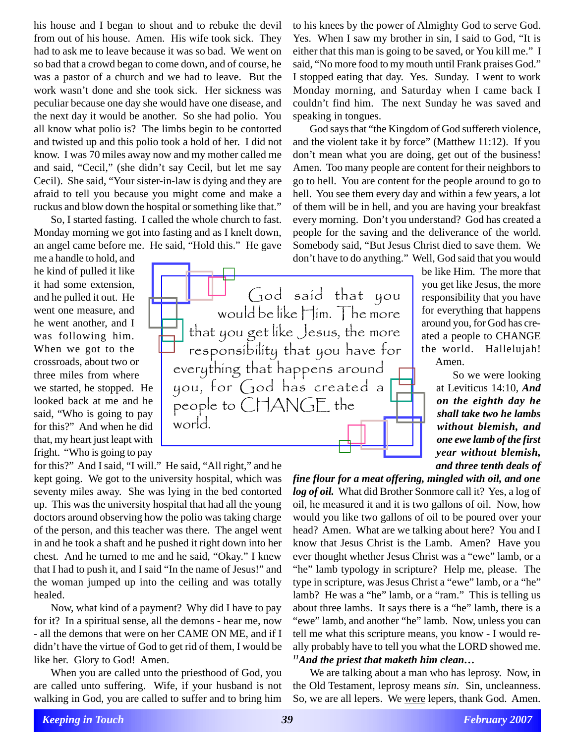his house and I began to shout and to rebuke the devil from out of his house. Amen. His wife took sick. They had to ask me to leave because it was so bad. We went on so bad that a crowd began to come down, and of course, he was a pastor of a church and we had to leave. But the work wasn't done and she took sick. Her sickness was peculiar because one day she would have one disease, and the next day it would be another. So she had polio. You all know what polio is? The limbs begin to be contorted and twisted up and this polio took a hold of her. I did not know. I was 70 miles away now and my mother called me and said, "Cecil," (she didn't say Cecil, but let me say Cecil). She said, "Your sister-in-law is dying and they are afraid to tell you because you might come and make a ruckus and blow down the hospital or something like that."

So, I started fasting. I called the whole church to fast. Monday morning we got into fasting and as I knelt down, an angel came before me. He said, "Hold this." He gave

me a handle to hold, and he kind of pulled it like it had some extension, and he pulled it out. He went one measure, and he went another, and I was following him. When we got to the crossroads, about two or three miles from where we started, he stopped. He looked back at me and he said, "Who is going to pay for this?" And when he did that, my heart just leapt with fright. "Who is going to pay

for this?" And I said, "I will." He said, "All right," and he kept going. We got to the university hospital, which was seventy miles away. She was lying in the bed contorted up. This was the university hospital that had all the young doctors around observing how the polio was taking charge of the person, and this teacher was there. The angel went in and he took a shaft and he pushed it right down into her chest. And he turned to me and he said, "Okay." I knew that I had to push it, and I said "In the name of Jesus!" and the woman jumped up into the ceiling and was totally healed.

Now, what kind of a payment? Why did I have to pay for it? In a spiritual sense, all the demons - hear me, now - all the demons that were on her CAME ON ME, and if I didn't have the virtue of God to get rid of them, I would be like her. Glory to God! Amen.

When you are called unto the priesthood of God, you are called unto suffering. Wife, if your husband is not walking in God, you are called to suffer and to bring him

to his knees by the power of Almighty God to serve God. Yes. When I saw my brother in sin, I said to God, "It is either that this man is going to be saved, or You kill me." I said, "No more food to my mouth until Frank praises God." I stopped eating that day. Yes. Sunday. I went to work Monday morning, and Saturday when I came back I couldn't find him. The next Sunday he was saved and speaking in tongues.

God says that "the Kingdom of God suffereth violence, and the violent take it by force" (Matthew 11:12). If you don't mean what you are doing, get out of the business! Amen. Too many people are content for their neighbors to go to hell. You are content for the people around to go to hell. You see them every day and within a few years, a lot of them will be in hell, and you are having your breakfast every morning. Don't you understand? God has created a people for the saving and the deliverance of the world. Somebody said, "But Jesus Christ died to save them. We don't have to do anything." Well, God said that you would

be like Him. The more that you get like Jesus, the more responsibility that you have for everything that happens around you, for God has created a people to CHANGE the world. Hallelujah! Amen.

> So we were looking at Leviticus 14:10, *And on the eighth day he shall take two he lambs without blemish, and one ewe lamb of the first year without blemish, and three tenth deals of*

*fine flour for a meat offering, mingled with oil, and one log of oil.* What did Brother Sonmore call it? Yes, a log of oil, he measured it and it is two gallons of oil. Now, how would you like two gallons of oil to be poured over your head? Amen. What are we talking about here? You and I know that Jesus Christ is the Lamb. Amen? Have you ever thought whether Jesus Christ was a "ewe" lamb, or a "he" lamb typology in scripture? Help me, please. The type in scripture, was Jesus Christ a "ewe" lamb, or a "he" lamb? He was a "he" lamb, or a "ram." This is telling us about three lambs. It says there is a "he" lamb, there is a "ewe" lamb, and another "he" lamb. Now, unless you can tell me what this scripture means, you know - I would really probably have to tell you what the LORD showed me. *11And the priest that maketh him clean…*

We are talking about a man who has leprosy. Now, in the Old Testament, leprosy means *sin*. Sin, uncleanness. So, we are all lepers. We were lepers, thank God. Amen.

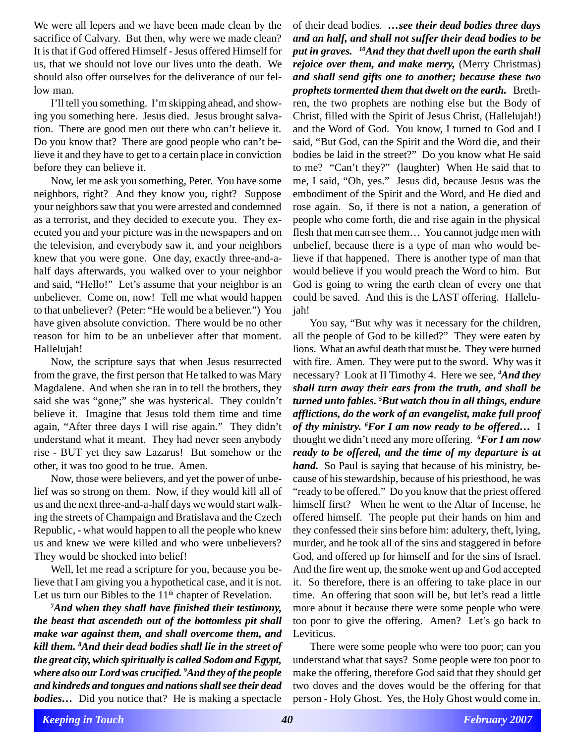We were all lepers and we have been made clean by the sacrifice of Calvary. But then, why were we made clean? It is that if God offered Himself - Jesus offered Himself for us, that we should not love our lives unto the death. We should also offer ourselves for the deliverance of our fellow man.

I'll tell you something. I'm skipping ahead, and showing you something here. Jesus died. Jesus brought salvation. There are good men out there who can't believe it. Do you know that? There are good people who can't believe it and they have to get to a certain place in conviction before they can believe it.

Now, let me ask you something, Peter. You have some neighbors, right? And they know you, right? Suppose your neighbors saw that you were arrested and condemned as a terrorist, and they decided to execute you. They executed you and your picture was in the newspapers and on the television, and everybody saw it, and your neighbors knew that you were gone. One day, exactly three-and-ahalf days afterwards, you walked over to your neighbor and said, "Hello!" Let's assume that your neighbor is an unbeliever. Come on, now! Tell me what would happen to that unbeliever? (Peter: "He would be a believer.") You have given absolute conviction. There would be no other reason for him to be an unbeliever after that moment. Hallelujah!

Now, the scripture says that when Jesus resurrected from the grave, the first person that He talked to was Mary Magdalene. And when she ran in to tell the brothers, they said she was "gone;" she was hysterical. They couldn't believe it. Imagine that Jesus told them time and time again, "After three days I will rise again." They didn't understand what it meant. They had never seen anybody rise - BUT yet they saw Lazarus! But somehow or the other, it was too good to be true. Amen.

Now, those were believers, and yet the power of unbelief was so strong on them. Now, if they would kill all of us and the next three-and-a-half days we would start walking the streets of Champaign and Bratislava and the Czech Republic, - what would happen to all the people who knew us and knew we were killed and who were unbelievers? They would be shocked into belief!

Well, let me read a scripture for you, because you believe that I am giving you a hypothetical case, and it is not. Let us turn our Bibles to the  $11<sup>th</sup>$  chapter of Revelation.

**7** *And when they shall have finished their testimony, the beast that ascendeth out of the bottomless pit shall make war against them, and shall overcome them, and kill them. 8 And their dead bodies shall lie in the street of the great city, which spiritually is called Sodom and Egypt, where also our Lord was crucified. 9 And they of the people and kindreds and tongues and nations shall see their dead bodies…* Did you notice that? He is making a spectacle

of their dead bodies. *…see their dead bodies three days and an half, and shall not suffer their dead bodies to be put in graves. 10And they that dwell upon the earth shall rejoice over them, and make merry,* (Merry Christmas) *and shall send gifts one to another; because these two prophets tormented them that dwelt on the earth.* Brethren, the two prophets are nothing else but the Body of Christ, filled with the Spirit of Jesus Christ, (Hallelujah!) and the Word of God. You know, I turned to God and I said, "But God, can the Spirit and the Word die, and their bodies be laid in the street?" Do you know what He said to me? "Can't they?" (laughter) When He said that to me, I said, "Oh, yes." Jesus did, because Jesus was the embodiment of the Spirit and the Word, and He died and rose again. So, if there is not a nation, a generation of people who come forth, die and rise again in the physical flesh that men can see them… You cannot judge men with unbelief, because there is a type of man who would believe if that happened. There is another type of man that would believe if you would preach the Word to him. But God is going to wring the earth clean of every one that could be saved. And this is the LAST offering. Hallelujah!

You say, "But why was it necessary for the children, all the people of God to be killed?" They were eaten by lions. What an awful death that must be. They were burned with fire. Amen. They were put to the sword. Why was it necessary? Look at II Timothy 4. Here we see, *<sup>4</sup> And they shall turn away their ears from the truth, and shall be turned unto fables. 5 But watch thou in all things, endure afflictions, do the work of an evangelist, make full proof of thy ministry. 6 For I am now ready to be offered…* I thought we didn't need any more offering. *<sup>6</sup> For I am now ready to be offered, and the time of my departure is at hand.* So Paul is saying that because of his ministry, because of his stewardship, because of his priesthood, he was "ready to be offered." Do you know that the priest offered himself first? When he went to the Altar of Incense, he offered himself. The people put their hands on him and they confessed their sins before him: adultery, theft, lying, murder, and he took all of the sins and staggered in before God, and offered up for himself and for the sins of Israel. And the fire went up, the smoke went up and God accepted it. So therefore, there is an offering to take place in our time. An offering that soon will be, but let's read a little more about it because there were some people who were too poor to give the offering. Amen? Let's go back to Leviticus.

There were some people who were too poor; can you understand what that says? Some people were too poor to make the offering, therefore God said that they should get two doves and the doves would be the offering for that person - Holy Ghost. Yes, the Holy Ghost would come in.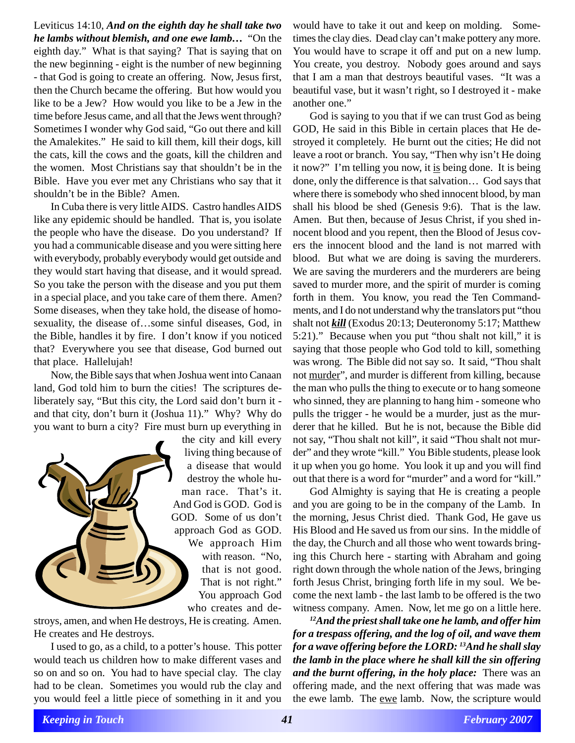Leviticus 14:10, *And on the eighth day he shall take two he lambs without blemish, and one ewe lamb…* "On the eighth day." What is that saying? That is saying that on the new beginning - eight is the number of new beginning - that God is going to create an offering. Now, Jesus first, then the Church became the offering. But how would you like to be a Jew? How would you like to be a Jew in the time before Jesus came, and all that the Jews went through? Sometimes I wonder why God said, "Go out there and kill the Amalekites." He said to kill them, kill their dogs, kill the cats, kill the cows and the goats, kill the children and the women. Most Christians say that shouldn't be in the Bible. Have you ever met any Christians who say that it shouldn't be in the Bible? Amen.

In Cuba there is very little AIDS. Castro handles AIDS like any epidemic should be handled. That is, you isolate the people who have the disease. Do you understand? If you had a communicable disease and you were sitting here with everybody, probably everybody would get outside and they would start having that disease, and it would spread. So you take the person with the disease and you put them in a special place, and you take care of them there. Amen? Some diseases, when they take hold, the disease of homosexuality, the disease of…some sinful diseases, God, in the Bible, handles it by fire. I don't know if you noticed that? Everywhere you see that disease, God burned out that place. Hallelujah!

Now, the Bible says that when Joshua went into Canaan land, God told him to burn the cities! The scriptures deliberately say, "But this city, the Lord said don't burn it and that city, don't burn it (Joshua 11)." Why? Why do you want to burn a city? Fire must burn up everything in



a disease that would destroy the whole human race. That's it. And God is GOD. God is GOD. Some of us don't approach God as GOD. We approach Him with reason. "No, that is not good. That is not right." You approach God who creates and de-

stroys, amen, and when He destroys, He is creating. Amen. He creates and He destroys.

I used to go, as a child, to a potter's house. This potter would teach us children how to make different vases and so on and so on. You had to have special clay. The clay had to be clean. Sometimes you would rub the clay and you would feel a little piece of something in it and you

would have to take it out and keep on molding. Sometimes the clay dies. Dead clay can't make pottery any more. You would have to scrape it off and put on a new lump. You create, you destroy. Nobody goes around and says that I am a man that destroys beautiful vases. "It was a beautiful vase, but it wasn't right, so I destroyed it - make another one."

God is saying to you that if we can trust God as being GOD, He said in this Bible in certain places that He destroyed it completely. He burnt out the cities; He did not leave a root or branch. You say, "Then why isn't He doing it now?" I'm telling you now, it is being done. It is being done, only the difference is that salvation… God says that where there is somebody who shed innocent blood, by man shall his blood be shed (Genesis 9:6). That is the law. Amen. But then, because of Jesus Christ, if you shed innocent blood and you repent, then the Blood of Jesus covers the innocent blood and the land is not marred with blood. But what we are doing is saving the murderers. We are saving the murderers and the murderers are being saved to murder more, and the spirit of murder is coming forth in them. You know, you read the Ten Commandments, and I do not understand why the translators put "thou shalt not *kill* (Exodus 20:13; Deuteronomy 5:17; Matthew 5:21)." Because when you put "thou shalt not kill," it is saying that those people who God told to kill, something was wrong. The Bible did not say so. It said, "Thou shalt not murder", and murder is different from killing, because the man who pulls the thing to execute or to hang someone who sinned, they are planning to hang him - someone who pulls the trigger - he would be a murder, just as the murderer that he killed. But he is not, because the Bible did not say, "Thou shalt not kill", it said "Thou shalt not murder" and they wrote "kill." You Bible students, please look it up when you go home. You look it up and you will find out that there is a word for "murder" and a word for "kill."

God Almighty is saying that He is creating a people and you are going to be in the company of the Lamb. In the morning, Jesus Christ died. Thank God, He gave us His Blood and He saved us from our sins. In the middle of the day, the Church and all those who went towards bringing this Church here - starting with Abraham and going right down through the whole nation of the Jews, bringing forth Jesus Christ, bringing forth life in my soul. We become the next lamb - the last lamb to be offered is the two witness company. Amen. Now, let me go on a little here.

*12And the priest shall take one he lamb, and offer him for a trespass offering, and the log of oil, and wave them for a wave offering before the LORD: 13And he shall slay the lamb in the place where he shall kill the sin offering and the burnt offering, in the holy place:* There was an offering made, and the next offering that was made was the ewe lamb. The ewe lamb. Now, the scripture would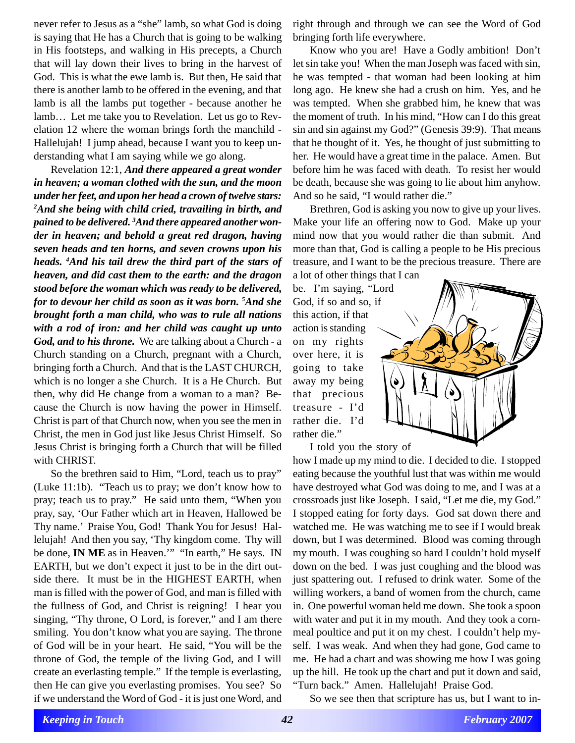never refer to Jesus as a "she" lamb, so what God is doing is saying that He has a Church that is going to be walking in His footsteps, and walking in His precepts, a Church that will lay down their lives to bring in the harvest of God. This is what the ewe lamb is. But then, He said that there is another lamb to be offered in the evening, and that lamb is all the lambs put together - because another he lamb… Let me take you to Revelation. Let us go to Revelation 12 where the woman brings forth the manchild - Hallelujah! I jump ahead, because I want you to keep understanding what I am saying while we go along.

Revelation 12:1, *And there appeared a great wonder in heaven; a woman clothed with the sun, and the moon under her feet, and upon her head a crown of twelve stars: 2 And she being with child cried, travailing in birth, and pained to be delivered. 3 And there appeared another wonder in heaven; and behold a great red dragon, having seven heads and ten horns, and seven crowns upon his heads. 4 And his tail drew the third part of the stars of heaven, and did cast them to the earth: and the dragon stood before the woman which was ready to be delivered, for to devour her child as soon as it was born. 5 And she brought forth a man child, who was to rule all nations with a rod of iron: and her child was caught up unto God, and to his throne.* We are talking about a Church - a Church standing on a Church, pregnant with a Church, bringing forth a Church. And that is the LAST CHURCH, which is no longer a she Church. It is a He Church. But then, why did He change from a woman to a man? Because the Church is now having the power in Himself. Christ is part of that Church now, when you see the men in Christ, the men in God just like Jesus Christ Himself. So Jesus Christ is bringing forth a Church that will be filled with CHRIST.

So the brethren said to Him, "Lord, teach us to pray" (Luke 11:1b). "Teach us to pray; we don't know how to pray; teach us to pray." He said unto them, "When you pray, say, 'Our Father which art in Heaven, Hallowed be Thy name.' Praise You, God! Thank You for Jesus! Hallelujah! And then you say, 'Thy kingdom come. Thy will be done, **IN ME** as in Heaven.'" "In earth," He says. IN EARTH, but we don't expect it just to be in the dirt outside there. It must be in the HIGHEST EARTH, when man is filled with the power of God, and man is filled with the fullness of God, and Christ is reigning! I hear you singing, "Thy throne, O Lord, is forever," and I am there smiling. You don't know what you are saying. The throne of God will be in your heart. He said, "You will be the throne of God, the temple of the living God, and I will create an everlasting temple." If the temple is everlasting, then He can give you everlasting promises. You see? So if we understand the Word of God - it is just one Word, and

right through and through we can see the Word of God bringing forth life everywhere.

Know who you are! Have a Godly ambition! Don't let sin take you! When the man Joseph was faced with sin, he was tempted - that woman had been looking at him long ago. He knew she had a crush on him. Yes, and he was tempted. When she grabbed him, he knew that was the moment of truth. In his mind, "How can I do this great sin and sin against my God?" (Genesis 39:9). That means that he thought of it. Yes, he thought of just submitting to her. He would have a great time in the palace. Amen. But before him he was faced with death. To resist her would be death, because she was going to lie about him anyhow. And so he said, "I would rather die."

Brethren, God is asking you now to give up your lives. Make your life an offering now to God. Make up your mind now that you would rather die than submit. And more than that, God is calling a people to be His precious treasure, and I want to be the precious treasure. There are a lot of other things that I can

be. I'm saying, "Lord God, if so and so, if this action, if that action is standing on my rights over here, it is going to take away my being that precious treasure - I'd rather die. I'd rather die."

I told you the story of

how I made up my mind to die. I decided to die. I stopped eating because the youthful lust that was within me would have destroyed what God was doing to me, and I was at a crossroads just like Joseph. I said, "Let me die, my God." I stopped eating for forty days. God sat down there and watched me. He was watching me to see if I would break down, but I was determined. Blood was coming through my mouth. I was coughing so hard I couldn't hold myself down on the bed. I was just coughing and the blood was just spattering out. I refused to drink water. Some of the willing workers, a band of women from the church, came in. One powerful woman held me down. She took a spoon with water and put it in my mouth. And they took a cornmeal poultice and put it on my chest. I couldn't help myself. I was weak. And when they had gone, God came to me. He had a chart and was showing me how I was going up the hill. He took up the chart and put it down and said, "Turn back." Amen. Hallelujah! Praise God.

So we see then that scripture has us, but I want to in-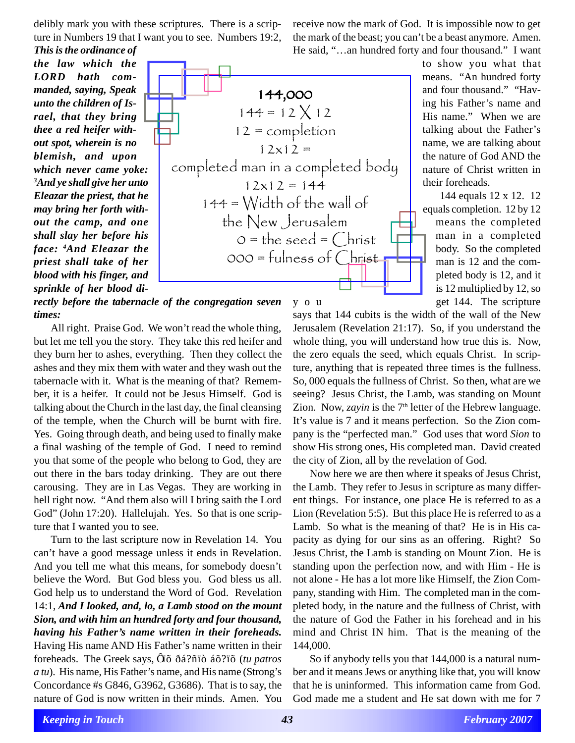delibly mark you with these scriptures. There is a scripture in Numbers 19 that I want you to see. Numbers 19:2, *This is the ordinance of*

*the law which the LORD hath commanded, saying, Speak unto the children of Israel, that they bring thee a red heifer without spot, wherein is no blemish, and upon which never came yoke: 3 And ye shall give her unto Eleazar the priest, that he may bring her forth without the camp, and one shall slay her before his face: <sup>4</sup> And Eleazar the priest shall take of her blood with his finger, and sprinkle of her blood di-*

144,000  $144 = 12 \times 12$ 12 = completion  $12x12 =$ completed man in a completed body  $12x12 = 144$  $144 =$  Width of the wall of the New Jerusalem  $0 =$  the seed =  $Christ$  $000 =$  fulness of  $Christ$ 

*rectly before the tabernacle of the congregation seven times:* y o u get 144. The scripture

All right. Praise God. We won't read the whole thing, but let me tell you the story. They take this red heifer and they burn her to ashes, everything. Then they collect the ashes and they mix them with water and they wash out the tabernacle with it. What is the meaning of that? Remember, it is a heifer. It could not be Jesus Himself. God is talking about the Church in the last day, the final cleansing of the temple, when the Church will be burnt with fire. Yes. Going through death, and being used to finally make a final washing of the temple of God. I need to remind you that some of the people who belong to God, they are out there in the bars today drinking. They are out there carousing. They are in Las Vegas. They are working in hell right now. "And them also will I bring saith the Lord God" (John 17:20). Hallelujah. Yes. So that is one scripture that I wanted you to see.

Turn to the last scripture now in Revelation 14. You can't have a good message unless it ends in Revelation. And you tell me what this means, for somebody doesn't believe the Word. But God bless you. God bless us all. God help us to understand the Word of God. Revelation 14:1, *And I looked, and, lo, a Lamb stood on the mount Sion, and with him an hundred forty and four thousand, having his Father's name written in their foreheads.* Having His name AND His Father's name written in their foreheads. The Greek says, Ôïõ ðá?ñïò áõ?ïõ (*tu patros a tu*). His name, His Father's name, and His name (Strong's Concordance #s G846, G3962, G3686). That is to say, the nature of God is now written in their minds. Amen. You

receive now the mark of God. It is impossible now to get the mark of the beast; you can't be a beast anymore. Amen. He said, "…an hundred forty and four thousand." I want

means. "An hundred forty and four thousand." "Having his Father's name and His name." When we are talking about the Father's name, we are talking about the nature of God AND the nature of Christ written in their foreheads.

144 equals 12 x 12. 12 equals completion. 12 by 12 means the completed man in a completed body. So the completed man is 12 and the completed body is 12, and it is 12 multiplied by 12, so

to show you what that

says that 144 cubits is the width of the wall of the New Jerusalem (Revelation 21:17). So, if you understand the whole thing, you will understand how true this is. Now, the zero equals the seed, which equals Christ. In scripture, anything that is repeated three times is the fullness. So, 000 equals the fullness of Christ. So then, what are we seeing? Jesus Christ, the Lamb, was standing on Mount Zion. Now, *zayin* is the  $7<sup>th</sup>$  letter of the Hebrew language. It's value is 7 and it means perfection. So the Zion company is the "perfected man." God uses that word *Sion* to show His strong ones, His completed man. David created the city of Zion, all by the revelation of God.

Now here we are then where it speaks of Jesus Christ, the Lamb. They refer to Jesus in scripture as many different things. For instance, one place He is referred to as a Lion (Revelation 5:5). But this place He is referred to as a Lamb. So what is the meaning of that? He is in His capacity as dying for our sins as an offering. Right? So Jesus Christ, the Lamb is standing on Mount Zion. He is standing upon the perfection now, and with Him - He is not alone - He has a lot more like Himself, the Zion Company, standing with Him. The completed man in the completed body, in the nature and the fullness of Christ, with the nature of God the Father in his forehead and in his mind and Christ IN him. That is the meaning of the 144,000.

So if anybody tells you that 144,000 is a natural number and it means Jews or anything like that, you will know that he is uninformed. This information came from God. God made me a student and He sat down with me for 7